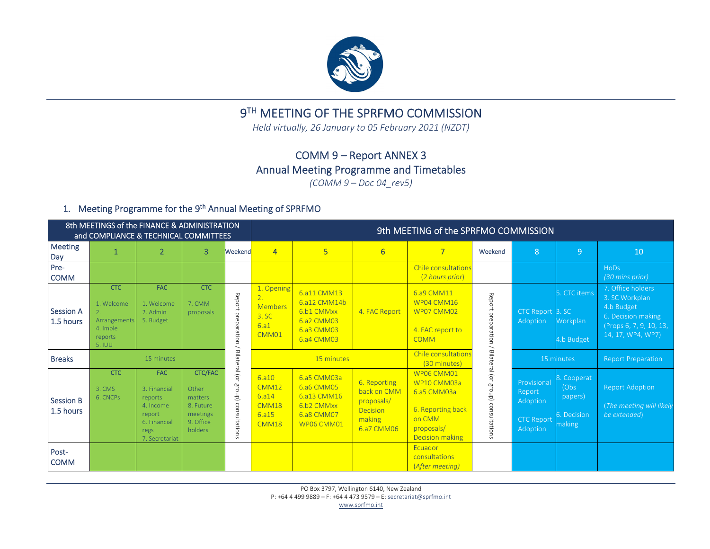

# 9<sup>TH</sup> MEETING OF THE SPRFMO COMMISSION

*Held virtually, 26 January to 05 February 2021 (NZDT)*

## COMM 9 – Report ANNEX 3 Annual Meeting Programme and Timetables

*(COMM 9 – Doc 04\_rev5)*

## 1. Meeting Programme for the 9<sup>th</sup> Annual Meeting of SPRFMO

|                               | 8th MEETINGS of the FINANCE & ADMINISTRATION<br>and COMPLIANCE & TECHNICAL COMMITTEES |                                                                                                        |                                                                                     |                                                | 9th MEETING of the SPRFMO COMMISSION                                                   |                                                                                     |                                                                               |                                                                                                                 |                                     |                                                                    |                                                         |                                                                                                                         |  |  |  |
|-------------------------------|---------------------------------------------------------------------------------------|--------------------------------------------------------------------------------------------------------|-------------------------------------------------------------------------------------|------------------------------------------------|----------------------------------------------------------------------------------------|-------------------------------------------------------------------------------------|-------------------------------------------------------------------------------|-----------------------------------------------------------------------------------------------------------------|-------------------------------------|--------------------------------------------------------------------|---------------------------------------------------------|-------------------------------------------------------------------------------------------------------------------------|--|--|--|
| <b>Meeting</b><br>Day         | 1                                                                                     | $\overline{2}$                                                                                         | $\overline{3}$                                                                      | Weekend                                        | $\overline{4}$                                                                         | 5                                                                                   | 6                                                                             | $\overline{7}$                                                                                                  | Weekend                             | 8                                                                  | $\overline{9}$                                          | 10                                                                                                                      |  |  |  |
| Pre-<br><b>COMM</b>           |                                                                                       |                                                                                                        |                                                                                     |                                                |                                                                                        |                                                                                     |                                                                               | Chile consultations<br>(2 hours prior)                                                                          |                                     |                                                                    |                                                         | HoDs<br>(30 mins prior)                                                                                                 |  |  |  |
| <b>Session A</b><br>1.5 hours | <b>CTC</b><br>1. Welcome<br>Arrangements<br>4. Imple<br>reports<br>5. IUU             | <b>FAC</b><br>1. Welcome<br>2. Admin<br>5. Budget                                                      | <b>CTC</b><br>7. CMM<br>proposals                                                   | Report preparation<br>$\overline{\phantom{0}}$ | 1. Opening<br>$\overline{2}$ .<br><b>Members</b><br>3. SC<br>6.a1<br>CMM <sub>01</sub> | 6.a11 CMM13<br>6.a12 CMM14b<br>6.b1 CMMxx<br>6.a2 CMM03<br>6.a3 CMM03<br>6.a4 CMM03 | 4. FAC Report                                                                 | 6.a9 CMM11<br>WP04 CMM16<br>WP07 CMM02<br>4. FAC report to<br><b>COMM</b>                                       | Report preparation                  | CTC Report 3. SC<br>Adoption                                       | CTC items<br>Workplan<br>4.b Budget                     | 7. Office holders<br>3. SC Workplan<br>4.b Budget<br>6. Decision making<br>(Props 6, 7, 9, 10, 13,<br>14, 17, WP4, WP7) |  |  |  |
| <b>Breaks</b>                 |                                                                                       | 15 minutes                                                                                             |                                                                                     |                                                | 15 minutes                                                                             |                                                                                     |                                                                               | Chile consultations<br>(30 minutes)                                                                             | Bila                                |                                                                    | 15 minutes                                              | <b>Report Preparation</b>                                                                                               |  |  |  |
| <b>Session B</b><br>1.5 hours | <b>CTC</b><br>3. CMS<br>6. CNCPs                                                      | <b>FAC</b><br>3. Financial<br>reports<br>4. Income<br>report<br>6. Financial<br>regs<br>7. Secretariat | <b>CTC/FAC</b><br>Other<br>matters<br>8. Future<br>meetings<br>9. Office<br>holders | Bilateral (or group) consultations             | 6.810<br>CMM12<br>6.314<br>CMM18<br>6.915<br>CMM18                                     | 6.a5 CMM03a<br>6.a6 CMM05<br>6.a13 CMM16<br>6.b2 CMMxx<br>6.a8 CMM07<br>WP06 CMM01  | 6. Reporting<br>back on CMM<br>proposals/<br>Decision<br>making<br>6.a7 CMM06 | WP06 CMM01<br>WP10 CMM03a<br>6.a5 CMM03a<br>6. Reporting back<br>on CMM<br>proposals/<br><b>Decision making</b> | teral (or group) consulta<br>ations | Provisional<br>Report<br>Adoption<br><b>CTC Report</b><br>Adoption | . Cooperat<br>(Obs)<br>papers)<br>S. Decision<br>making | <b>Report Adoption</b><br>(The meeting will likely<br>be extended)                                                      |  |  |  |
| Post-<br><b>COMM</b>          |                                                                                       |                                                                                                        |                                                                                     |                                                |                                                                                        |                                                                                     |                                                                               | Ecuador<br>consultations<br>(After meeting)                                                                     |                                     |                                                                    |                                                         |                                                                                                                         |  |  |  |

PO Box 3797, Wellington 6140, New Zealand P: +64 4 499 9889 – F: +64 4 473 9579 – E: <u>secretariat@sprfmo.int</u>

www.sprfmo.int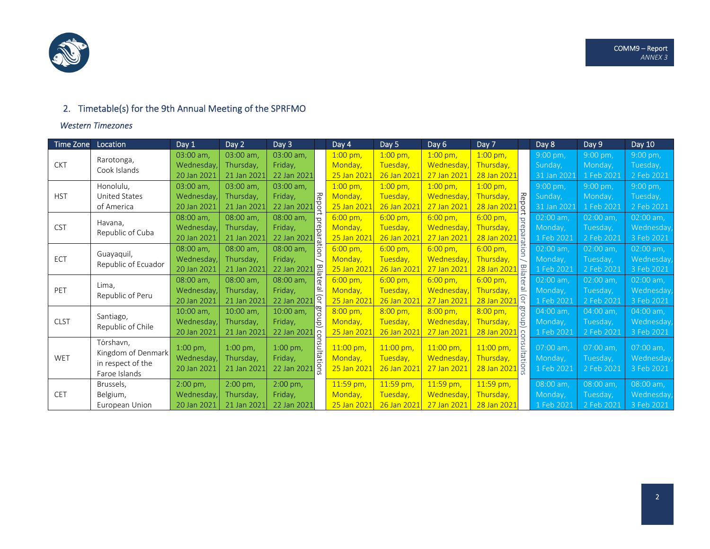

## 2. Timetable(s) for the 9th Annual Meeting of the SPRFMO

#### *Western Timezones*

| Time Zone   | Location                          | Day 1            | Day 2       | Day 3                                                                                 |                         | Day 4               | Day 5             | Day 6                               | Day 7                         | Day 8       | Day 9      | Day 10      |
|-------------|-----------------------------------|------------------|-------------|---------------------------------------------------------------------------------------|-------------------------|---------------------|-------------------|-------------------------------------|-------------------------------|-------------|------------|-------------|
|             | Rarotonga,                        | 03:00 am,        | 03:00 am,   | 03:00 am.                                                                             |                         | $1:00$ pm,          | $1:00$ pm,        | $1:00$ pm,                          | $1:00$ pm,                    | 9:00 pm,    | $9:00$ pm, | 9:00 pm,    |
| <b>CKT</b>  | Cook Islands                      | Wednesday,       | Thursday,   | Friday,<br>22 Jan 2021                                                                | Monday,                 | Tuesday,            | Wednesday,        | Thursday,                           | Sunday,                       | Monday,     | Tuesday,   |             |
|             |                                   | 20 Jan 2021      | 21 Jan 2021 |                                                                                       | 25 Jan 202              | 26 Jan 2022         | 27 Jan 2021       | 28 Jan 2021                         | 31 Jan 2021                   | 1 Feb 2021  | 2 Feb 2021 |             |
|             | Honolulu,                         | 03:00 am,        | 03:00 am,   | 03:00 am,                                                                             | <b>Repor</b>            | $1:00 \text{ pm}$ , | $1:00$ pm,        | $1:00$ pm,                          | $1:00 \text{ pm}$             | $9:00$ pm,  | $9:00$ pm, | $9:00$ pm,  |
| <b>HST</b>  | <b>United States</b>              | Wednesdav        | Thursdav.   | Fridav.                                                                               |                         | Monday,             | Tuesday,          | Wednesday                           | Thursday,                     | Sunday,     | Monday,    | Tuesday,    |
|             | of America                        | 20 Jan 2021      | 21 Jan 2021 | 22 Jan 2021                                                                           |                         | 25 Jan 2021         | 26 Jan 2021       | 27 Jan 2021                         | Report<br>28 Jan 2021         | 31 Jan 2021 | 1 Feb 2021 | 2 Feb 2021  |
|             | Havana,                           | 08:00 am,        | 08:00 am,   | t prepara<br>08:00 am,<br>Friday,<br>22 Jan 2021<br>ligi<br> <br>08:00 am,<br>Friday, | $6:00 \text{ pm}$       | $6:00 \text{ pm}$   | $6:00 \text{ pm}$ | $6:00 \text{ pm}$<br>$\overline{Q}$ | 02:00 am,                     | 02:00 am,   | 02:00 am,  |             |
| <b>CST</b>  | Republic of Cuba                  | <b>Wednesday</b> | Thursday,   |                                                                                       | Monday,                 | Tuesday,            | Wednesdav         | éb.<br>Thursday,                    | Monday,                       | Tuesday,    | Wednesday, |             |
|             |                                   | 20 Jan 2021      | 21 Jan 2021 |                                                                                       | 25 Jan 2021             | 26 Jan 2021         | 27 Jan 2021       | 28 Jan 2021                         | 1 Feb 2021                    | 2 Feb 2021  | 3 Feb 2021 |             |
|             |                                   | 08:00 am,        | 08:00 am,   |                                                                                       |                         | $6:00 \text{ pm}$   | $6:00 \text{ pm}$ | $6:00 \text{ pm}$                   | 흥<br>$6:00 \text{ pm}$        | $02:00$ am, | 02:00 am,  | 02:00 am,   |
| ECT         | Guayaquil,<br>Republic of Ecuador | <b>Wednesday</b> | Thursday,   |                                                                                       | Monday,                 | Tuesday,            | <b>Wednesday</b>  | Thursday,                           | Monday,                       | Tuesday,    | Wednesday, |             |
|             |                                   | 20 Jan 2021      | 21 Jan 2021 | 22 Jan 2021                                                                           |                         | 25 Jan 202          | 26 Jan 2022       | 27 Jan 2021                         | Bila<br>28 Jan 2021           | 1 Feb 2021  | 2 Feb 2021 | 3 Feb 2021  |
|             | Lima.                             | 08:00 am,        | 08:00 am,   | 08:00 am,                                                                             | <b>Bilater</b>          | $6:00 \text{ pm}$ , | $6:00 \text{ pm}$ | $6:00 \text{ pm}$                   | itel<br>$6:00 \text{ pm}$     | $02:00$ am, | 02:00 am,  | 02:00 am,   |
| PET         | Republic of Peru                  | Wednesday,       | Thursday,   | <u>ம்</u><br>Friday,                                                                  | Monday,                 | Tuesday,            | Wednesday         | உ<br>Thursday,                      | Monday,                       | Tuesday,    | Wednesday, |             |
|             |                                   | 20 Jan 2021      | 21 Jan 2021 | 22 Jan 2021                                                                           | $\sqrt{2}$              | 25 Jan 2021         | 26 Jan 2022       | 27 Jan 2021                         | $\overline{Q}$<br>28 Jan 2021 | 1 Feb 2021  | 2 Feb 2021 | 3 Feb 2021  |
|             |                                   | 10:00 am,        | 10:00 am,   | 10:00 am,                                                                             | gro                     | 8:00 pm,            | $8:00 \text{ pm}$ | $8:00 \text{ pm}$                   | group<br>8:00 pm,             | $04:00$ am, | 04:00 am,  | $04:00$ am, |
| <b>CLST</b> | Santiago,<br>Republic of Chile    | Wednesday,       | Thursday,   | Friday,                                                                               | Ĕ                       | Monday,             | Tuesday,          | <b>Wednesday</b>                    | Thursday,                     | Monday,     | Tuesday,   | Wednesday,  |
|             |                                   | 20 Jan 2021      | 21 Jan 2021 | 22 Jan 2021                                                                           | $\overline{\mathsf{S}}$ | 25 Jan 2021         | 26 Jan 2022       | 27 Jan 2021                         | 28 Jan 2021<br>con            | 1 Feb 2021  | 2 Feb 2021 | 3 Feb 2021  |
|             | Tórshavn,                         | $1:00$ pm,       | $1:00$ pm,  | $1:00 \text{ pm}$ ,                                                                   |                         | 11:00 pm,           | $11:00$ pm,       | $11:00 \text{ pm}$                  | $11:00$ pm,                   | 07:00 am,   | 07:00 am,  | 07:00 am,   |
| WET         | Kingdom of Denmark                | Wednesday        | Thursday,   | Friday,                                                                               | priation:               | Monday,             | Tuesday,          | <b>Wednesday</b>                    | sultations<br>Thursday,       | Monday,     | Tuesday,   | Wednesday,  |
|             | in respect of the                 | 20 Jan 2021      | 21 Jan 2021 | 22 Jan 2021                                                                           |                         | 25 Jan 2021         | 26 Jan 2021       | 27 Jan 2021                         |                               | 1 Feb 2021  |            |             |
|             | Faroe Islands                     |                  |             |                                                                                       |                         |                     |                   |                                     | 28 Jan 2021                   |             | 2 Feb 2021 | 3 Feb 2021  |
|             | Brussels,                         | $2:00$ pm,       | 2:00 pm,    | 2:00 pm,                                                                              |                         | 11:59 pm,           | 11:59 pm,         | $11:59$ pm,                         | 11:59 pm,                     | 08:00 am,   | 08:00 am,  | 08:00 am,   |
| <b>CET</b>  | Belgium,                          | Wednesday        | Thursday,   | Friday,                                                                               |                         | Monday,             | Tuesday,          | Wednesday                           | Thursday,                     | Monday,     | Tuesday,   | Wednesday,  |
|             | European Union                    | 20 Jan 2021      | 21 Jan 2021 | 22 Jan 2021                                                                           |                         | 25 Jan 2021         | 26 Jan 2021       | 27 Jan 2021                         | 28 Jan 2021                   | 1 Feb 2021  | 2 Feb 2021 | 3 Feb 2021  |